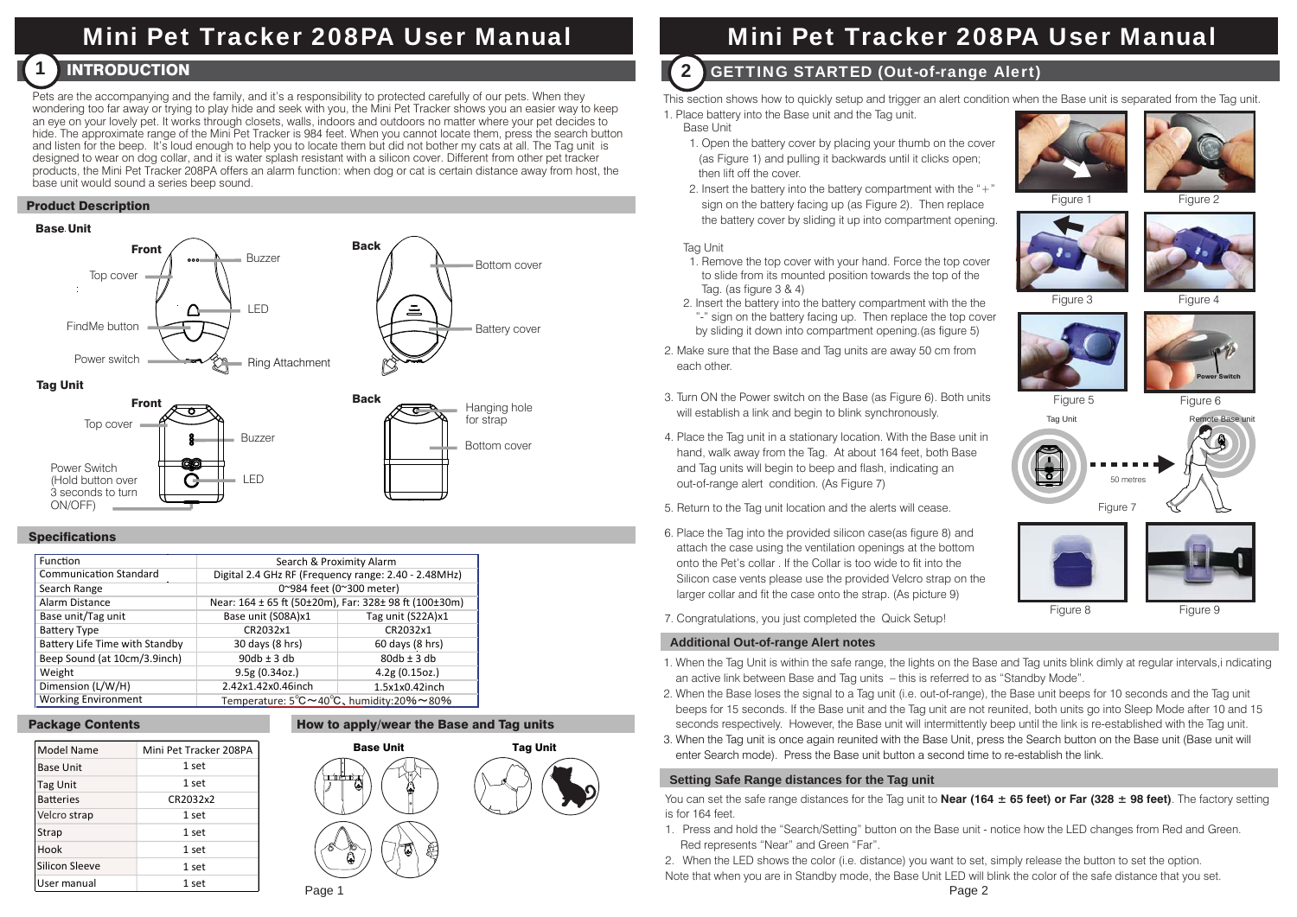# Mini Pet Tracker 208PA User Manual

#### $\blacksquare$  introduction  $\blacksquare$ 1

Pets are the accompanying and the family, and it's a responsibility to protected carefully of our pets. When they wondering too far away or trying to play hide and seek with you, the Mini Pet Tracker shows you an easier way to keep an eye on your lovely pet. It works through closets, walls, indoors and outdoors no matter where your pet decides to hide. The approximate range of the Mini Pet Tracker is 984 feet. When you cannot locate them, press the search button and listen for the beep. It's loud enough to help you to locate them but did not bother my cats at all. The Tag unit is designed to wear on dog collar, and it is water splash resistant with a silicon cover. Different from other pet tracker products, the Mini Pet Tracker 208PA offers an alarm function: when dog or cat is certain distance away from host, the base unit would sound a series beep sound.

# Product Description

## Base Unit





# **Specifications**

| Function                       | Search & Proximity Alarm                                         |                   |
|--------------------------------|------------------------------------------------------------------|-------------------|
| <b>Communication Standard</b>  | Digital 2.4 GHz RF (Frequency range: 2.40 - 2.48MHz)             |                   |
| Search Range                   | 0~984 feet (0~300 meter)                                         |                   |
| Alarm Distance                 | Near: 164 ± 65 ft (50±20m), Far: 328± 98 ft (100±30m)            |                   |
| Base unit/Tag unit             | Base unit (S08A)x1                                               | Tag unit (S22A)x1 |
| <b>Battery Type</b>            | CR2032x1                                                         | CR2032x1          |
| Battery Life Time with Standby | 30 days (8 hrs)                                                  | 60 days (8 hrs)   |
| Beep Sound (at 10cm/3.9inch)   | $90db \pm 3db$                                                   | $80db \pm 3db$    |
| Weight                         | 9.5g(0.34oz.)                                                    | 4.2g(0.15oz.)     |
| Dimension (L/W/H)              | 2.42x1.42x0.46inch                                               | 1.5x1x0.42inch    |
| <b>Working Environment</b>     | Temperature: $5^{\circ}$ C ~ 40 $^{\circ}$ C, humidity:20% ~ 80% |                   |

# Package Contents



#### How to apply/wear the Base and Tag units



# Mini Pet Tracker 208PA User Manual

# **2 GETTING STARTED (Out-of-range Alert)**

This section shows how to quickly setup and trigger an alert condition when the Base unit is separated from the Tag unit.

1. Place battery into the Base unit and the Tag unit.

- Base Unit1. Open the battery cover by placing your thumb on the cover
- (as Figure 1) and pulling it backwards until it clicks open; then lift off the cover.
- 2. Insert the battery into the battery compartment with the " $+$ " sign on the battery facing up (as Figure 2). Then replace the battery cover by sliding it up into compartment opening.

## **Tag Unit**

- 1. Remove the top cover with your hand. Force the top cover to slide from its mounted position towards the top of the Tag. (as figure 3 & 4)
- 2. Insert the battery into the battery compartment with the the "-" sign on the battery facing up. Then replace the top cover by sliding it down into compartment opening.(as figure 5)
- 2. Make sure that the Base and Tag units are away 50 cm from each other.
- 3. Turn ON the Power switch on the Base (as Figure 6). Both units will establish a link and begin to blink synchronously.
- 4. Place the Tag unit in a stationary location. With the Base unit in hand, walk away from the Tag. At about 164 feet, both Base and Tag units will begin to beep and flash, indicating an out-of-range alert condition. (As Figure 7)
- 5. Return to the Tag unit location and the alerts will cease.
- 6. Place the Tag into the provided silicon case(as figure 8) and attach the case using the ventilation openings at the bottom onto the Pet's collar . If the Collar is too wide to fit into the Silicon case vents please use the provided Velcro strap on the larger collar and fit the case onto the strap. (As picture 9)
- 7. Congratulations, you just completed the Quick Setup!

# **Additional Out-of-range Alert notes**

- 1. When the Tag Unit is within the safe range, the lights on the Base and Tag units blink dimly at regular intervals,i ndicating an active link between Base and Tag units – this is referred to as "Standby Mode".
- 2. When the Base loses the signal to a Tag unit (i.e. out-of-range), the Base unit beeps for 10 seconds and the Tag unit beeps for 15 seconds. If the Base unit and the Tag unit are not reunited, both units go into Sleep Mode after 10 and 15 seconds respectively. However, the Base unit will intermittently beep until the link is re-established with the Tag unit.
- 3. When the Tag unit is once again reunited with the Base Unit, press the Search button on the Base unit (Base unit will Mini Pet Tracker 208PA **Base Unit Fag Unit Fag Unit Tag Unit** Exerch mode). Press the Base unit button a second time to re-establish the link.

# **Setting Safe Range distances for the Tag unit**

You can set the safe range distances for the Tag unit to **Near (164 ± 65 feet) or Far (328 ± 98 feet)**. The factory setting is for 164 feet.

1. Press and hold the "Search/Setting" button on the Base unit - notice how the LED changes from Red and Green. Red represents "Near" and Green "Far".

2. When the LED shows the color (i.e. distance) you want to set, simply release the button to set the option.

Note that when you are in Standby mode, the Base Unit LED will blink the color of the safe distance that you set.











Power Switch